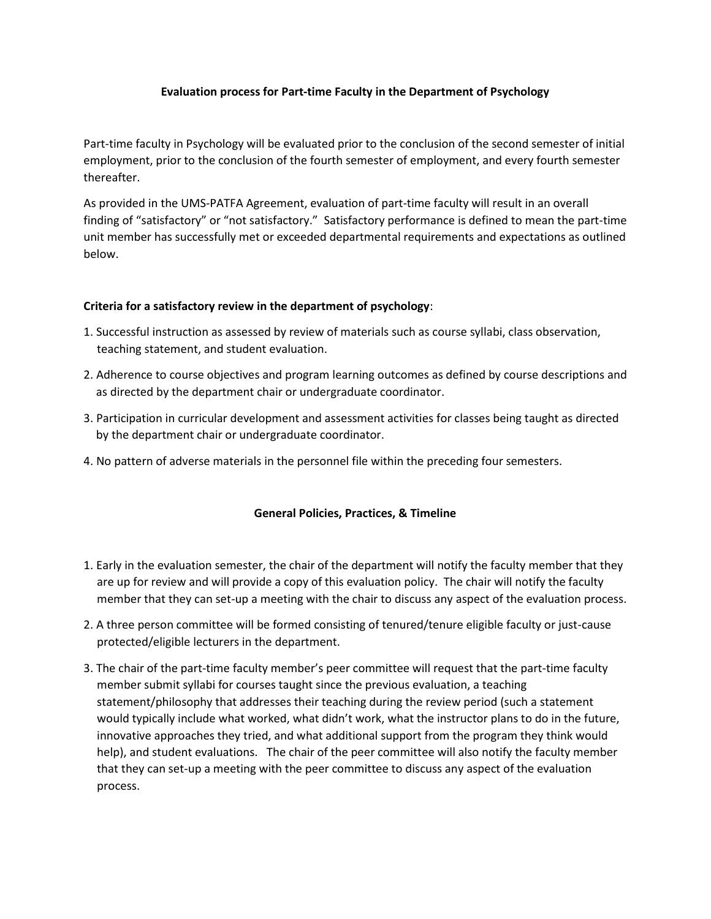## **Evaluation process for Part-time Faculty in the Department of Psychology**

Part-time faculty in Psychology will be evaluated prior to the conclusion of the second semester of initial employment, prior to the conclusion of the fourth semester of employment, and every fourth semester thereafter.

As provided in the UMS-PATFA Agreement, evaluation of part-time faculty will result in an overall finding of "satisfactory" or "not satisfactory." Satisfactory performance is defined to mean the part-time unit member has successfully met or exceeded departmental requirements and expectations as outlined below.

## **Criteria for a satisfactory review in the department of psychology**:

- 1. Successful instruction as assessed by review of materials such as course syllabi, class observation, teaching statement, and student evaluation.
- 2. Adherence to course objectives and program learning outcomes as defined by course descriptions and as directed by the department chair or undergraduate coordinator.
- 3. Participation in curricular development and assessment activities for classes being taught as directed by the department chair or undergraduate coordinator.
- 4. No pattern of adverse materials in the personnel file within the preceding four semesters.

## **General Policies, Practices, & Timeline**

- 1. Early in the evaluation semester, the chair of the department will notify the faculty member that they are up for review and will provide a copy of this evaluation policy. The chair will notify the faculty member that they can set-up a meeting with the chair to discuss any aspect of the evaluation process.
- 2. A three person committee will be formed consisting of tenured/tenure eligible faculty or just-cause protected/eligible lecturers in the department.
- 3. The chair of the part-time faculty member's peer committee will request that the part-time faculty member submit syllabi for courses taught since the previous evaluation, a teaching statement/philosophy that addresses their teaching during the review period (such a statement would typically include what worked, what didn't work, what the instructor plans to do in the future, innovative approaches they tried, and what additional support from the program they think would help), and student evaluations. The chair of the peer committee will also notify the faculty member that they can set-up a meeting with the peer committee to discuss any aspect of the evaluation process.